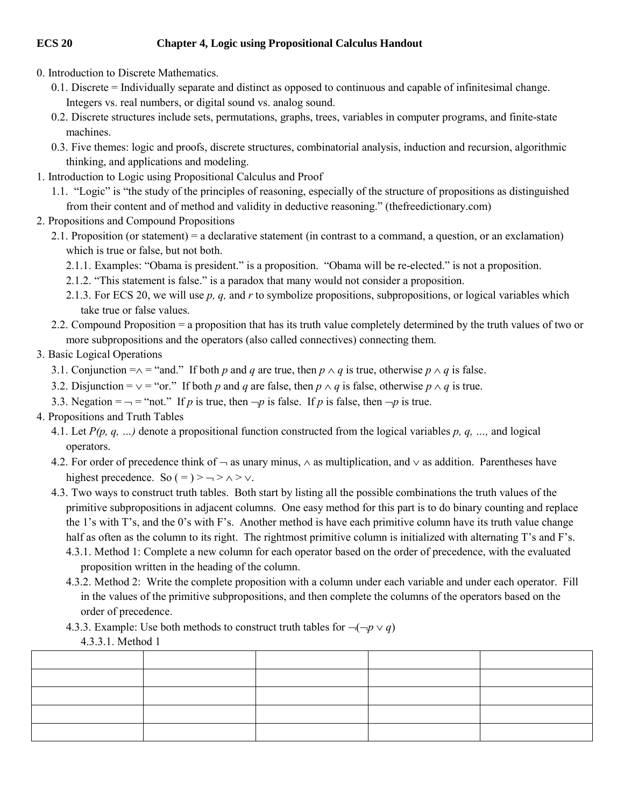## **ECS 20 Chapter 4, Logic using Propositional Calculus Handout**

- 0. Introduction to Discrete Mathematics.
	- 0.1. Discrete = Individually separate and distinct as opposed to continuous and capable of infinitesimal change. Integers vs. real numbers, or digital sound vs. analog sound.
	- 0.2. Discrete structures include sets, permutations, graphs, trees, variables in computer programs, and finite-state machines.
	- 0.3. Five themes: logic and proofs, discrete structures, combinatorial analysis, induction and recursion, algorithmic thinking, and applications and modeling.
- 1. Introduction to Logic using Propositional Calculus and Proof
	- 1.1. "Logic" is "the study of the principles of reasoning, especially of the structure of propositions as distinguished from their content and of method and validity in deductive reasoning." (thefreedictionary.com)
- 2. Propositions and Compound Propositions
	- 2.1. Proposition (or statement) = a declarative statement (in contrast to a command, a question, or an exclamation) which is true or false, but not both.
		- 2.1.1. Examples: "Obama is president." is a proposition. "Obama will be re-elected." is not a proposition.
		- 2.1.2. "This statement is false." is a paradox that many would not consider a proposition.
		- 2.1.3. For ECS 20, we will use *p, q,* and *r* to symbolize propositions, subpropositions, or logical variables which take true or false values.
	- 2.2. Compound Proposition = a proposition that has its truth value completely determined by the truth values of two or more subpropositions and the operators (also called connectives) connecting them.

## 3. Basic Logical Operations

- 3.1. Conjunction  $=\wedge =$  "and." If both *p* and *q* are true, then  $p \wedge q$  is true, otherwise  $p \wedge q$  is false.
- 3.2. Disjunction =  $\vee$  = "or." If both *p* and *q* are false, then  $p \wedge q$  is false, otherwise  $p \wedge q$  is true.
- 3.3. Negation =  $\rightarrow$  = "not." If *p* is true, then  $\neg p$  is false. If *p* is false, then  $\neg p$  is true.
- 4. Propositions and Truth Tables
	- 4.1. Let *P(p, q, …)* denote a propositional function constructed from the logical variables *p, q, …,* and logical operators.
	- 4.2. For order of precedence think of  $\rightarrow$  as unary minus,  $\land$  as multiplication, and  $\lor$  as addition. Parentheses have highest precedence. So  $( =) > - \rangle \wedge \rangle \vee$ .
	- 4.3. Two ways to construct truth tables. Both start by listing all the possible combinations the truth values of the primitive subpropositions in adjacent columns. One easy method for this part is to do binary counting and replace the 1's with T's, and the 0's with F's. Another method is have each primitive column have its truth value change half as often as the column to its right. The rightmost primitive column is initialized with alternating T's and F's. 4.3.1. Method 1: Complete a new column for each operator based on the order of precedence, with the evaluated

proposition written in the heading of the column.

- 4.3.2. Method 2: Write the complete proposition with a column under each variable and under each operator. Fill in the values of the primitive subpropositions, and then complete the columns of the operators based on the order of precedence.
- 4.3.3. Example: Use both methods to construct truth tables for  $\neg(\neg p \lor q)$

4.3.3.1. Method 1

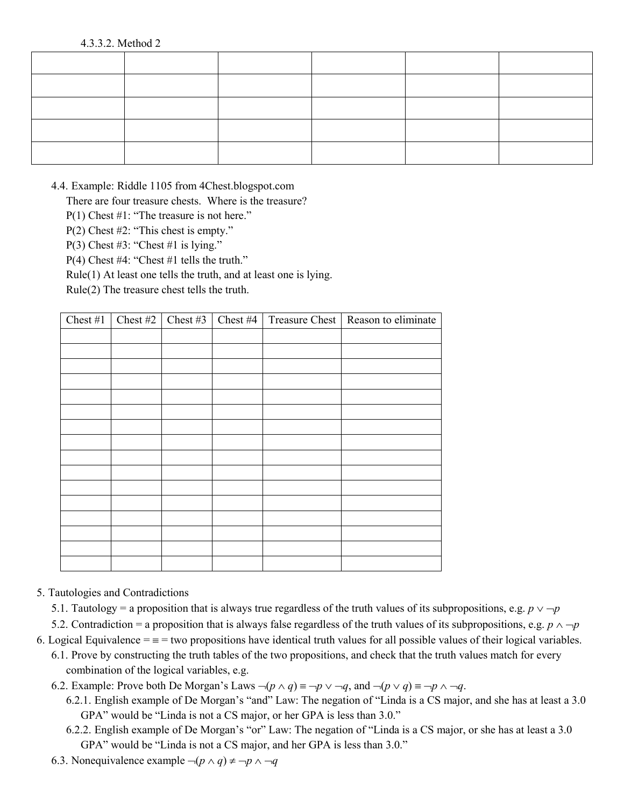## 4.3.3.2. Method 2

4.4. Example: Riddle 1105 from 4Chest.blogspot.com

There are four treasure chests. Where is the treasure?

P(1) Chest #1: "The treasure is not here."

P(2) Chest #2: "This chest is empty."

P(3) Chest #3: "Chest #1 is lying."

P(4) Chest #4: "Chest #1 tells the truth."

Rule(1) At least one tells the truth, and at least one is lying.

Rule(2) The treasure chest tells the truth.

| Chest #1 | Chest #2   Chest #3 | Chest #4 | Treasure Chest | Reason to eliminate |
|----------|---------------------|----------|----------------|---------------------|
|          |                     |          |                |                     |
|          |                     |          |                |                     |
|          |                     |          |                |                     |
|          |                     |          |                |                     |
|          |                     |          |                |                     |
|          |                     |          |                |                     |
|          |                     |          |                |                     |
|          |                     |          |                |                     |
|          |                     |          |                |                     |
|          |                     |          |                |                     |
|          |                     |          |                |                     |
|          |                     |          |                |                     |
|          |                     |          |                |                     |
|          |                     |          |                |                     |
|          |                     |          |                |                     |
|          |                     |          |                |                     |

## 5. Tautologies and Contradictions

5.1. Tautology = a proposition that is always true regardless of the truth values of its subpropositions, e.g.  $p \vee \neg p$ 

5.2. Contradiction = a proposition that is always false regardless of the truth values of its subpropositions, e.g.  $p \land \neg p$ 

6. Logical Equivalence  $=$   $=$   $=$  two propositions have identical truth values for all possible values of their logical variables.

- 6.1. Prove by constructing the truth tables of the two propositions, and check that the truth values match for every combination of the logical variables, e.g.
- 6.2. Example: Prove both De Morgan's Laws  $\neg (p \land q) \equiv \neg p \lor \neg q$ , and  $\neg (p \lor q) \equiv \neg p \land \neg q$ .
	- 6.2.1. English example of De Morgan's "and" Law: The negation of "Linda is a CS major, and she has at least a 3.0 GPA" would be "Linda is not a CS major, or her GPA is less than 3.0."
	- 6.2.2. English example of De Morgan's "or" Law: The negation of "Linda is a CS major, or she has at least a 3.0 GPA" would be "Linda is not a CS major, and her GPA is less than 3.0."
- 6.3. Nonequivalence example  $\neg (p \land q) \neq \neg p \land \neg q$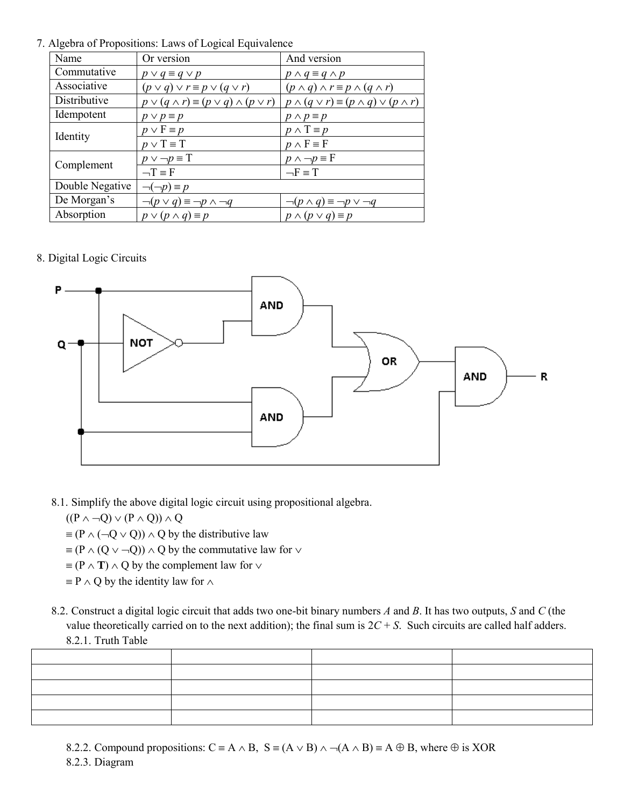7. Algebra of Propositions: Laws of Logical Equivalence

| Name            | Or version                                                | And version                                                 |
|-----------------|-----------------------------------------------------------|-------------------------------------------------------------|
| Commutative     | $p \vee q \equiv q \vee p$                                | $p \wedge q \equiv q \wedge p$                              |
| Associative     | $(p \vee q) \vee r \equiv p \vee (q \vee r)$              | $(p \wedge q) \wedge r \equiv p \wedge (q \wedge r)$        |
| Distributive    | $p \vee (q \wedge r) \equiv (p \vee q) \wedge (p \vee r)$ | $p \wedge (q \vee r) \equiv (p \wedge q) \vee (p \wedge r)$ |
| Idempotent      | $p \vee p \equiv p$                                       | $p \wedge p \equiv p$                                       |
| Identity        | $p \vee F \equiv p$                                       | $p \wedge T \equiv p$                                       |
|                 | $p \vee T \equiv T$                                       | $p \wedge F \equiv F$                                       |
| Complement      | $p \vee \neg p \equiv T$                                  | $p \wedge \neg p \equiv F$                                  |
|                 | $\neg$ T = F                                              | $-F \equiv T$                                               |
| Double Negative | $\neg(\neg p) \equiv p$                                   |                                                             |
| De Morgan's     | $\neg (p \lor q) \equiv \neg p \land \neg q$              | $\neg (p \land q) \equiv \neg p \lor \neg q$                |
| Absorption      | $p \vee (p \wedge q) \equiv p$                            | $p \wedge (p \vee q) \equiv p$                              |

8. Digital Logic Circuits



8.1. Simplify the above digital logic circuit using propositional algebra.

 $((P \land \neg Q) \lor (P \land Q)) \land Q$ 

- $\equiv (P \land (\neg Q \lor Q)) \land Q$  by the distributive law
- $\equiv (P \wedge (Q \vee \neg Q)) \wedge Q$  by the commutative law for  $\vee$
- $\equiv$  (P  $\land$  **T**)  $\land$  Q by the complement law for  $\lor$
- $\equiv$  P  $\land$  Q by the identity law for  $\land$
- 8.2. Construct a digital logic circuit that adds two one-bit binary numbers *A* and *B*. It has two outputs, *S* and *C* (the value theoretically carried on to the next addition); the final sum is  $2C + S$ . Such circuits are called half adders. 8.2.1. Truth Table

- 8.2.2. Compound propositions:  $C = A \wedge B$ ,  $S = (A \vee B) \wedge \neg (A \wedge B) = A \oplus B$ , where  $\oplus$  is XOR
- 8.2.3. Diagram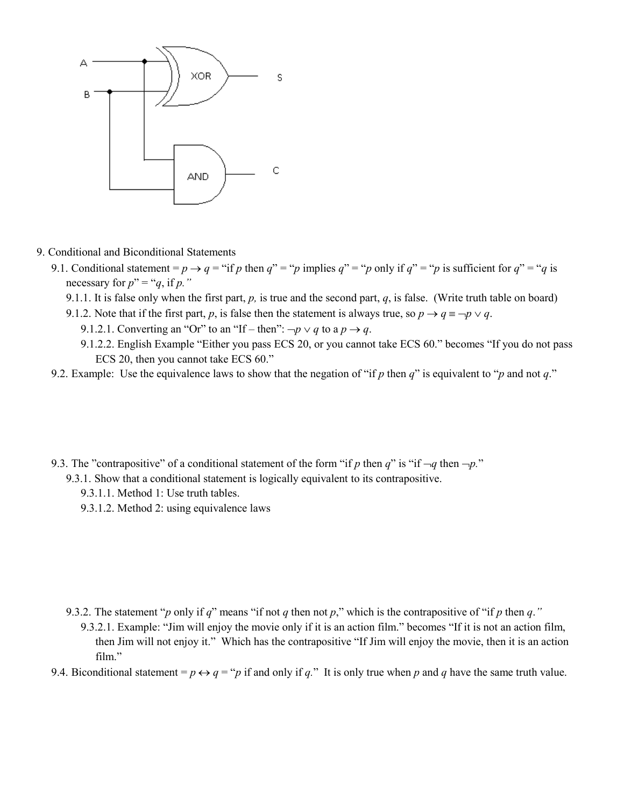

- 9. Conditional and Biconditional Statements
	- 9.1. Conditional statement =  $p \rightarrow q$  = "if *p* then  $q$ " = "*p* implies  $q$ " = "*p* only if  $q$ " = "*p* is sufficient for  $q$ " = "*q* is necessary for  $p'' = "q$ , if p."
		- 9.1.1. It is false only when the first part,  $p$ , is true and the second part,  $q$ , is false. (Write truth table on board)
		- 9.1.2. Note that if the first part, *p*, is false then the statement is always true, so  $p \rightarrow q \equiv \neg p \lor q$ .
			- 9.1.2.1. Converting an "Or" to an "If then":  $\neg p \lor q$  to a  $p \rightarrow q$ .
			- 9.1.2.2. English Example "Either you pass ECS 20, or you cannot take ECS 60." becomes "If you do not pass ECS 20, then you cannot take ECS 60."
	- 9.2. Example: Use the equivalence laws to show that the negation of "if *p* then *q*" is equivalent to "*p* and not *q*."
	- 9.3. The "contrapositive" of a conditional statement of the form "if *p* then *q*" is "if  $\neg q$  then  $\neg p$ ."
		- 9.3.1. Show that a conditional statement is logically equivalent to its contrapositive.
			- 9.3.1.1. Method 1: Use truth tables.
			- 9.3.1.2. Method 2: using equivalence laws

- 9.3.2. The statement "*p* only if *q*" means "if not *q* then not *p*," which is the contrapositive of "if *p* then *q*."
	- 9.3.2.1. Example: "Jim will enjoy the movie only if it is an action film." becomes "If it is not an action film, then Jim will not enjoy it." Which has the contrapositive "If Jim will enjoy the movie, then it is an action film."
- 9.4. Biconditional statement =  $p \leftrightarrow q = p$  if and only if *q*." It is only true when *p* and *q* have the same truth value.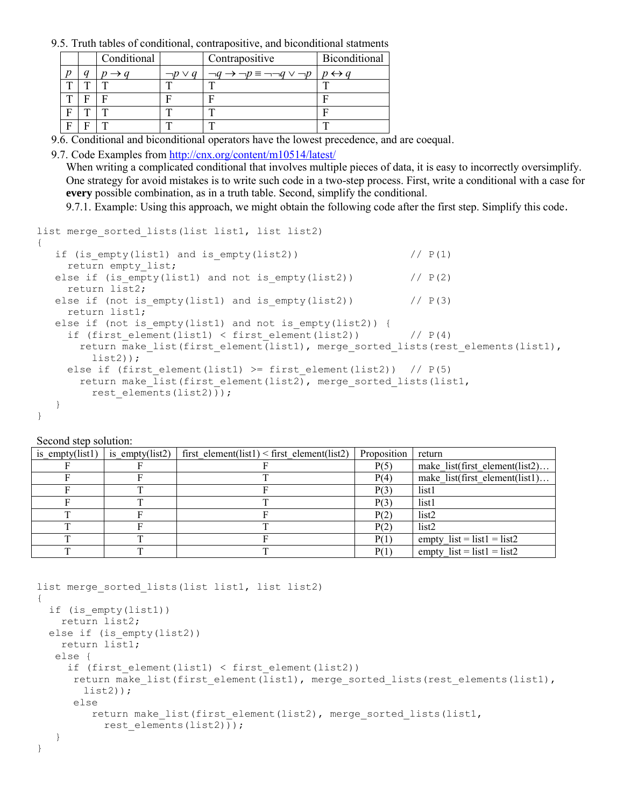9.5. Truth tables of conditional, contrapositive, and biconditional statments

|   | Conditional |                 | Contrapositive                                             | Biconditional       |
|---|-------------|-----------------|------------------------------------------------------------|---------------------|
| a |             | $\neg p \vee q$ | $\neg q \rightarrow \neg p \equiv \neg \neg q \vee \neg p$ | $\leftrightarrow a$ |
|   |             |                 |                                                            |                     |
|   |             |                 |                                                            |                     |
| Ē |             |                 |                                                            |                     |
| ∽ | Ē           |                 | ᠁                                                          | $\mathbf{r}$        |

9.6. Conditional and biconditional operators have the lowest precedence, and are coequal.

9.7. Code Examples from<http://cnx.org/content/m10514/latest/>

When writing a complicated conditional that involves multiple pieces of data, it is easy to incorrectly oversimplify. One strategy for avoid mistakes is to write such code in a two-step process. First, write a conditional with a case for **every** possible combination, as in a truth table. Second, simplify the conditional.

9.7.1. Example: Using this approach, we might obtain the following code after the first step. Simplify this code.

```
list merge sorted lists(list list1, list list2)
{
  if (is empty(list1) and is empty(list2)) // P(1) return empty_list;
  else if (is empty(list1) and not is empty(list2)) // P(2) return list2;
  else if (not is empty(list1) and is empty(list2)) // P(3) return list1;
  else if (not is empty(list1) and not is empty(list2)) {
    if (first element(list1) < first element(list2)) // P(4)return make list(first element(list1), merge sorted lists(rest elements(list1),
         list2));
    else if (first element(list1) >= first element(list2)) // P(5)return make list(first element(list2), merge sorted lists(list1,
        rest elements(list2)));
   }
}
```
Second step solution:

| is empty(list1) | is empty( $list2)$ | first element(list1) < first element(list2) | Proposition | return                         |
|-----------------|--------------------|---------------------------------------------|-------------|--------------------------------|
|                 |                    |                                             | P(5)        | make list(first element(list2) |
|                 |                    |                                             | P(4)        | make list(first element(list1) |
|                 |                    |                                             | P(3)        | list1                          |
|                 |                    |                                             | P(3)        | list1                          |
|                 |                    |                                             | P(2)        | list <sub>2</sub>              |
|                 |                    |                                             | P(2)        | list <sub>2</sub>              |
|                 |                    |                                             | P(1)        | empty $list = list1 = list2$   |
|                 |                    |                                             | P(1)        | empty $list = list1 = list2$   |

```
list merge sorted lists(list list1, list list2)
{
   if (is_empty(list1))
    return list2;
 else if (is empty(list2))
    return list1;
    else {
     if (first element(list1) < first element(list2))
      return make list(first element(list1), merge sorted lists(rest elements(list1),
       list2));
       else
        return make list(first element(list2), merge sorted lists(list1,
          rest elements(list2)));
    }
}
```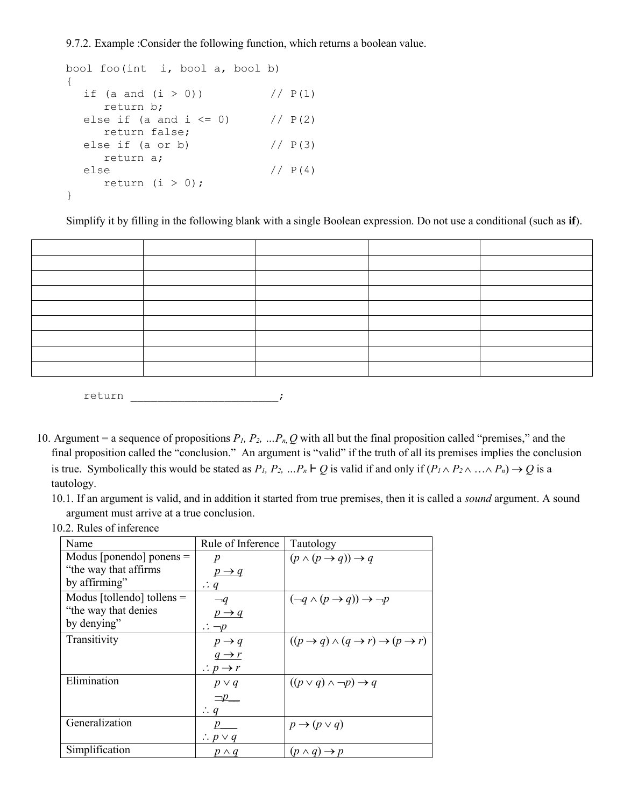9.7.2. Example :Consider the following function, which returns a boolean value.

```
bool foo(int i, bool a, bool b)
{
  if (a and (i > 0)) // P(1) return b;
  else if (a and i \le 0) // P(2) return false;
  else if (a \text{ or } b) // P(3) return a;
  else // P(4)return (i > 0);
}
```
Simplify it by filling in the following blank with a single Boolean expression. Do not use a conditional (such as **if**).



return the contract of the contract of the contract of the contract of the contract of the contract of the contract of the contract of the contract of the contract of the contract of the contract of the contract of the con

- 10. Argument = a sequence of propositions  $P_1$ ,  $P_2$ ,  $\ldots P_n$ ,  $Q$  with all but the final proposition called "premises," and the final proposition called the "conclusion." An argument is "valid" if the truth of all its premises implies the conclusion is true. Symbolically this would be stated as  $P_1$ ,  $P_2$ ,  $\ldots P_n \vdash Q$  is valid if and only if  $(P_1 \wedge P_2 \wedge \ldots \wedge P_n) \rightarrow Q$  is a tautology.
	- 10.1. If an argument is valid, and in addition it started from true premises, then it is called a *sound* argument. A sound argument must arrive at a true conclusion.

|  | 10.2. Rules of inference |
|--|--------------------------|
|--|--------------------------|

| Name                         | Rule of Inference            | Tautology                                                                   |
|------------------------------|------------------------------|-----------------------------------------------------------------------------|
| Modus [ponendo] ponens $=$   | p                            | $(p \land (p \rightarrow q)) \rightarrow q$                                 |
| "the way that affirms"       | $p \rightarrow q$            |                                                                             |
| by affirming"                | $\therefore$ q               |                                                                             |
| Modus [tollendo] tollens $=$ | $\neg q$                     | $(\neg q \land (p \rightarrow q)) \rightarrow \neg p$                       |
| "the way that denies"        | $p \rightarrow q$            |                                                                             |
| by denying"                  | $\therefore \neg p$          |                                                                             |
| Transitivity                 | $p \rightarrow q$            | $((p \rightarrow q) \land (q \rightarrow r) \rightarrow (p \rightarrow r))$ |
|                              | $q \rightarrow r$            |                                                                             |
|                              | $\therefore p \rightarrow r$ |                                                                             |
| Elimination                  | $p \vee q$                   | $((p \vee q) \wedge \neg p) \rightarrow q$                                  |
|                              | $\Box p$                     |                                                                             |
|                              | $\therefore q$               |                                                                             |
| Generalization               | $p_{\perp}$                  | $p \rightarrow (p \vee q)$                                                  |
|                              | $\therefore$ p $\vee$ q      |                                                                             |
| Simplification               | $p \wedge q$                 | $(p \wedge q) \rightarrow p$                                                |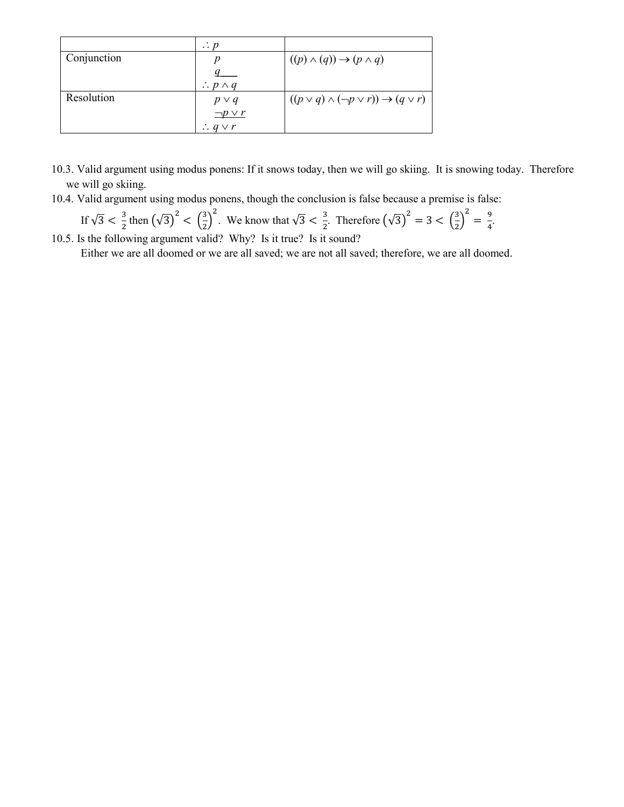|             | $\therefore p$            |                                                              |
|-------------|---------------------------|--------------------------------------------------------------|
| Conjunction |                           | $((p) \wedge (q)) \rightarrow (p \wedge q)$                  |
|             |                           |                                                              |
|             | $\therefore$ p $\wedge$ q |                                                              |
| Resolution  | $p \vee q$                | $((p \vee q) \wedge (\neg p \vee r)) \rightarrow (q \vee r)$ |
|             | $\neg p \vee r$           |                                                              |
|             | $\therefore q \vee r$     |                                                              |

- 10.3. Valid argument using modus ponens: If it snows today, then we will go skiing. It is snowing today. Therefore we will go skiing.
- 10.4. Valid argument using modus ponens, though the conclusion is false because a premise is false:

If  $\sqrt{3} < \frac{3}{2}$  then  $(\sqrt{3})^2 < (\frac{3}{2})^2$ . We know that  $\sqrt{3} < \frac{3}{2}$ . Therefore  $(\sqrt{3})^2 = 3 < (\frac{3}{2})^2 = \frac{9}{4}$ .  $\frac{5}{4}$ . 10.5. Is the following argument valid? Why? Is it true? Is it sound?

Either we are all doomed or we are all saved; we are not all saved; therefore, we are all doomed.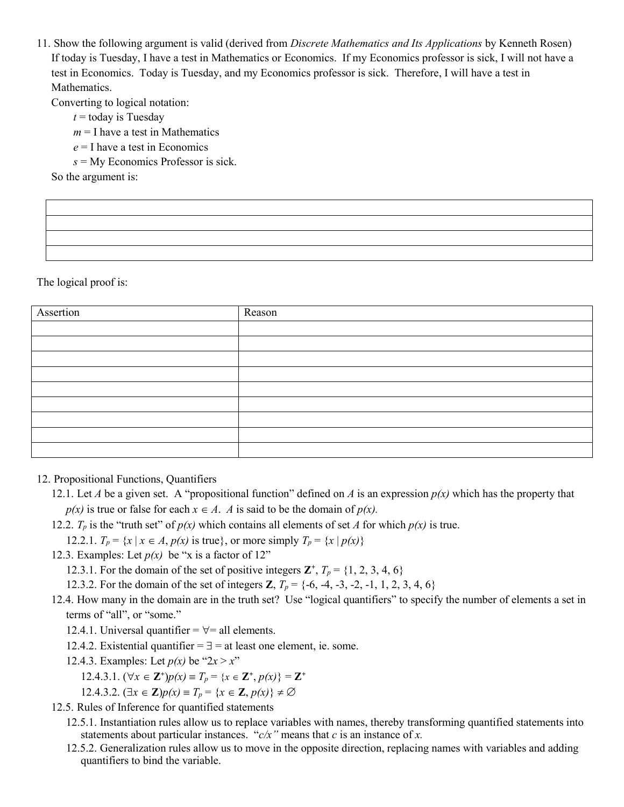11. Show the following argument is valid (derived from *Discrete Mathematics and Its Applications* by Kenneth Rosen) If today is Tuesday, I have a test in Mathematics or Economics. If my Economics professor is sick, I will not have a test in Economics. Today is Tuesday, and my Economics professor is sick. Therefore, I will have a test in Mathematics.

Converting to logical notation:

- $t =$  today is Tuesday
- $m = I$  have a test in Mathematics
- *e* = I have a test in Economics
- *s* = My Economics Professor is sick.

So the argument is:

The logical proof is:

| Assertion | Reason |
|-----------|--------|
|           |        |
|           |        |
|           |        |
|           |        |
|           |        |
|           |        |
|           |        |
|           |        |
|           |        |

- 12. Propositional Functions, Quantifiers
	- 12.1. Let *A* be a given set. A "propositional function" defined on *A* is an expression  $p(x)$  which has the property that  $p(x)$  is true or false for each  $x \in A$ . *A* is said to be the domain of  $p(x)$ .
	- 12.2.  $T_p$  is the "truth set" of  $p(x)$  which contains all elements of set *A* for which  $p(x)$  is true.

12.2.1.  $T_p = \{x \mid x \in A, p(x) \text{ is true}\}, \text{ or more simply } T_p = \{x \mid p(x)\}\$ 

12.3. Examples: Let  $p(x)$  be "x is a factor of 12"

12.3.1. For the domain of the set of positive integers  $\mathbf{Z}^+$ ,  $T_p = \{1, 2, 3, 4, 6\}$ 

12.3.2. For the domain of the set of integers **Z**,  $T_p = \{-6, -4, -3, -2, -1, 1, 2, 3, 4, 6\}$ 

- 12.4. How many in the domain are in the truth set? Use "logical quantifiers" to specify the number of elements a set in terms of "all", or "some."
	- 12.4.1. Universal quantifier  $=$   $\forall$  = all elements.
	- 12.4.2. Existential quantifier  $=$   $\exists$  = at least one element, ie. some.
	- 12.4.3. Examples: Let  $p(x)$  be " $2x > x$ "
		- 12.4.3.1.  $(\forall x \in \mathbb{Z}^+) p(x) \equiv T_p = \{x \in \mathbb{Z}^+, p(x)\} = \mathbb{Z}^+$

12.4.3.2.  $(\exists x \in \mathbb{Z})p(x) \equiv T_p = \{x \in \mathbb{Z}, p(x)\} \neq \emptyset$ 

- 12.5. Rules of Inference for quantified statements
	- 12.5.1. Instantiation rules allow us to replace variables with names, thereby transforming quantified statements into statements about particular instances. "*c/x"* means that *c* is an instance of *x.*
	- 12.5.2. Generalization rules allow us to move in the opposite direction, replacing names with variables and adding quantifiers to bind the variable.